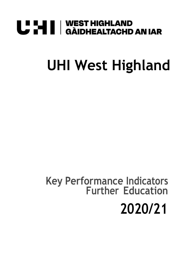# **U "HI | WEST HIGHLAND<br>U THI | GÀIDHEALTACHD AN IAR**

## **UHI West Highland**

### **Key Performance Indicators Further Education 2020/21**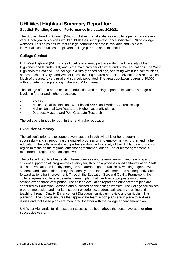### **UHI West Highland Summary Report for:**

#### **Scottish Funding Council Performance Indicators 2020/21**

The Scottish Funding Council (SFC) publishes official statistics on college performance every year. Each year all colleges would publish their set of performance indicators (PI) on college websites. This helps ensure that college performance data is available and visible to individuals, communities, employers, college partners and stakeholders.

#### **College Context**

UHI West Highland (WH) is one of twelve academic partners within the University of the Highlands and Islands (UHI) and is the main provider of further and higher education in the West Highlands of Scotland. The college is a rurally based college, operating within ten communities, across Lochaber, Skye and Wester Ross covering an area approximately half the size of Wales. Much of the area is very rural and sparsely populated. The area population is around 40,000 with a quarter of people living in the Fort William area.

The college offers a broad choice of education and training opportunities across a range of levels, in further and higher education.

- Access
- National Qualifications and Work-based SVQs and Modern Apprenticeships
- Higher National Certificates and Higher NationalDiplomas
- Degrees, Masters and Post Graduate Research

The college is funded for both further and higher education.

#### **Executive Summary**

The college's priority is to support every student in achieving his or her programme successfully and in supporting the onward progression into employment or further and higher education. The college works with partners within the University of the Highlands and Islands region to focus on the regional outcome agreement priorities. The outcome agreement is monitored at regional and college level.

The college Executive Leadership Team oversees and reviews learning and teaching and student support on all programmes every year, through a process called self-evaluation. Staff use self-evaluation to identify strengths and areas of good practice by working together with students and stakeholders. They also identify areas for development and subsequently take forward actions for improvement. Through the Education Scotland Quality Framework, the college agrees a college-wide enhancement plan that identifies appropriate improvement actions over a three-year period. The college evaluation report and enhancement plan are endorsed by Education Scotland and published on the college website. The College scrutinises programme design and monitors student experience, student satisfaction, learning and teaching through Quality Enhancement Dialogues, curriculum review and curriculum 3-yr planning. The college ensures that appropriate team action plans are in place to address issues and that these plans are monitored together with the college enhancement plan.

UHI West Highlands' full time student success has been above the sector average for **nine** successive years.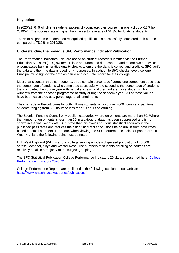#### **Key points**

In 2020/21, 64% of full-time students successfully completed their course, this was a drop of 6.1% from 2019/20. The success rate is higher than the sector average of 61.3% for full-time students.

76.2% of all part time students on recognised qualifications successfully completed their course compared to 78.9% in 2019/20.

#### **Understanding the previous SFC Performance Indicator Publication**

The Performance Indicators (PIs) are based on student records submitted via the Further Education Statistics (FES) system. This is an automated data capture and record system, which encompasses built-in iterative quality checks to ensure the data, is correct and credible. SFC verify the data and then the data is used for PI purposes. In addition to SFC checks, every college Principal must sign-off the data as a true and accurate record for their college.

Most charts contain three components, three contain percentage figures; one component describes the percentage of students who completed successfully, the second is the percentage of students that completed the course year with partial success, and the third are those students who withdrew from their chosen programme of study during the academic year. All of these values have been calculated as a percentage of all enrolments.

The charts detail the outcomes for both full time students, on a course (>600 hours) and part time students ranging from 320 hours to less than 10 hours of learning.

The Scottish Funding Council only publish categories where enrolments are more than 50. Where the number of enrolments is less than 50 in a category, data has been suppressed and is not shown in the final set of data. SFC state that this avoids spurious statistical accuracy in the published pass rates and reduces the risk of incorrect conclusions being drawn from pass rates based on small numbers. Therefore, when viewing the SFC performance indicator paper for UHI West Highland the following point must be noted:

UHI West Highland (WH) is a rural college serving a widely dispersed population of 40,000 across Lochaber, Skye and Wester Ross. The numbers of students enrolling on courses are relatively small in a majority of the subject groupings.

The SFC Statistical Publication College Performance Indicators 20\_21 are presented here: [College](https://www.whc.uhi.ac.uk/t4-media/one-web/west-highland/about-us/facts-and-figures/publications/West_Highland_College_PIs_2020-21.pdf)  [Performance Indicators 2020\\_21](https://www.whc.uhi.ac.uk/t4-media/one-web/west-highland/about-us/facts-and-figures/publications/West_Highland_College_PIs_2020-21.pdf) .

College Performance Reports are published in the following location on our website: <https://www.whc.uhi.ac.uk/about-us/publications/>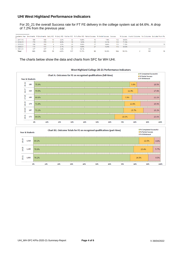#### **UHI West Highland Performance Indicators**

For 20\_21 the overall Success rate for FT FE delivery in the college system sat at 64.6%. A drop of 7.2% from the previous year.

|                    |     |     |     |      |     |       |    | Academic Year Enrolments PI Enrolments Early WD % Early WD Further WD % Further WD Partial Success % Partial Success Success |     |       |     | % Success Invalid Outcome No Outcome Excluded From PIs |
|--------------------|-----|-----|-----|------|-----|-------|----|------------------------------------------------------------------------------------------------------------------------------|-----|-------|-----|--------------------------------------------------------|
| $\boxplus$ 2017/18 | 189 | 189 |     | 5.3% | 32  | 16.9% |    | 7.9%                                                                                                                         | 132 | 69.8% |     |                                                        |
| □ 2018/19          | 174 | 174 | 11. | 6.3% | 16  | 9.2%  | 21 | 12.1%                                                                                                                        | 124 | 71.3% |     |                                                        |
| $\equiv 2019/20$   | 198 | 188 | 6.  | 3.2% | 20  | 10.6% | 27 | 14.4%                                                                                                                        | 135 | 71.8% |     | 10                                                     |
| 2020/21            | 175 | 175 |     | 5.1% | 26  | 14.9% | 27 | 15.4%                                                                                                                        | 113 | 64.6% |     |                                                        |
| $\boxplus$ 2021/22 | 127 | 127 |     | 2.4% | 23  | 18.1% |    |                                                                                                                              |     |       | 101 |                                                        |
| <b>Total</b>       | 863 | 853 |     | 4.6% | 117 | 13.7% | 90 | 10.6%                                                                                                                        | 504 | 59.1% | 101 | 10                                                     |

The charts below show the data and charts from SFC for WH UHI.



#### West Highland College 20-21 Performance Indicators

10%

20%

30%

40%

50%

60%

70%

80%

90%

100%

0%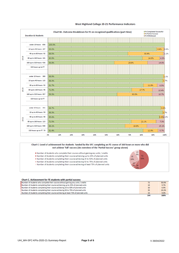

#### West Highland College 20-21 Performance Indicators



#### Chart C. Achievement for FE students with partial success

| Number of students who complete their course without gaining any units / credits   |     | 50.0% |
|------------------------------------------------------------------------------------|-----|-------|
| Number of students completing their course achieiving up to 25% of planned units   | 14  | 9.7%  |
| Number of students completing their course achieving 25 to 50% of planned units    | 10  | 6.9%  |
| Number of students completing their course achieving 50 to 75% of planned units    | 35  | 24.3% |
| Number of students completing their course achieving at least 75% of planned units | 13  | 9.0%  |
|                                                                                    | 144 | 100%  |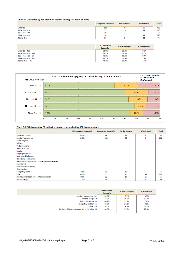#### Chart D. Outcomes by age group on courses lasting 160 hours or more

|                 | <b>Completed Successful</b> | <b>Partial Success</b> | Withdrawal | <b>Total</b> |
|-----------------|-----------------------------|------------------------|------------|--------------|
| under 18        | 281                         | 94                     | 85         | 460          |
| 18-20 year olds | 79                          | 23                     | 11         | 113          |
| 21-24 year olds | 49                          | 11                     |            | 67           |
| 25-40 year olds | 94                          | 12                     | 14         | 120          |
| 41 and Over     | 56                          |                        |            | 75           |

|                     | % Completed<br>Successful | % Partial Success | % Withdrawal |
|---------------------|---------------------------|-------------------|--------------|
| under 18 460        | 61.1%                     | 20.4%             | 18.5%        |
| 18-20 year olds 113 | 69.9%                     | 20.4%             | 9.7%         |
| 21-24 year olds 67  | 73.1%                     | 16.4%             | 10.4%        |
| 25-40 year olds 120 | 78.3%                     | 10.0%             | 11.7%        |
| 41 and Over<br>75   | 74.7%                     | 10.7%             | 14.7%        |

| Age Group & Students   |                                              | <sup>19</sup> % Completed Successful<br><sup>1</sup> % Partial Success<br>□% Withdrawal |       |             |
|------------------------|----------------------------------------------|-----------------------------------------------------------------------------------------|-------|-------------|
| under 18<br>460        | 61.1%                                        | 20.4%                                                                                   |       | 18.5%       |
| 18-20 year olds 113    | 69.9%                                        |                                                                                         | 20.4% | 9.7%        |
| 21-24 year olds 67     | 173.1%                                       |                                                                                         | 16.4% | 10.4%       |
| 25-40 year olds<br>120 | 78.3%                                        |                                                                                         | 10.0% | 11.7%       |
| 75<br>41 and Over      | 74.7%                                        |                                                                                         | 10.7% | 14.7%       |
|                        | 0%<br>10%<br>20%<br>30%<br>40%<br>50%<br>60% | 70%                                                                                     | 80%   | 90%<br>100% |

#### Chart E. FE Outcomes by ES subject group on courses lasting 160 hours or more

|                                                  | % Completed Successful | <b>Completed Successful</b> | <b>Partial Success</b> | Withdrawal     | <b>Total</b> |
|--------------------------------------------------|------------------------|-----------------------------|------------------------|----------------|--------------|
| Sport and Leisure                                | 66.7%                  | 36                          | 14                     | 4              | 54           |
| <b>Special Programmes</b>                        | 89.6%                  | 181                         | 14                     | 7              | 202          |
| Social subjects                                  |                        |                             |                        |                |              |
| Science                                          |                        |                             |                        |                |              |
| Performing arts                                  |                        |                             |                        |                |              |
| <b>Nautical studies</b>                          |                        |                             |                        |                |              |
| Media                                            |                        |                             |                        |                |              |
| Languages and ESOL                               |                        |                             |                        |                |              |
| Land-based industries                            |                        |                             |                        |                |              |
| Hospitality and tourism                          |                        |                             |                        |                |              |
| Hairdressing, Beauty and Complementary Therapies |                        |                             |                        |                |              |
| Engineering                                      |                        |                             |                        |                |              |
| <b>Education and training</b>                    |                        |                             |                        |                |              |
| Construction                                     |                        |                             |                        |                |              |
| Computing and ICT                                | 58.8%                  | 30                          | 19                     | $\overline{2}$ | 51           |
| Care                                             | 54.0%                  | 122                         | 46                     | 58             | 226          |
| Business, Management and Administration          | 40.0%                  | 22                          | 18                     | 15             | 55           |
| Art and design                                   | 72.0%                  | 36                          | 8                      | 6              | 50           |

|                                            | % Completed<br>Successful | % Partial Success | % Withdrawal |
|--------------------------------------------|---------------------------|-------------------|--------------|
| Special Programmes 202                     | 89.6%                     | 6.9%              | 3.5%         |
| Art and design 50                          | 72.0%                     | 16.0%             | 12.0%        |
| Sport and Leisure 54                       | 66.7%                     | 25.9%             | 7.4%         |
| Computing and ICT 51                       | 58.8%                     | 37.3%             | 3.9%         |
| Care 226                                   | 54.0%                     | 20.4%             | 25.7%        |
| Business, Management and Administration 55 | 40.0%                     | 32.7%             | 27.3%        |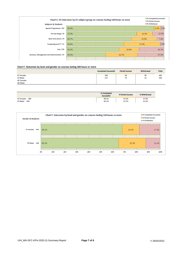| □% Completed Successful<br>Chart E. FE Outcomes by ES subject group on courses lasting 160 hours or more<br><b>El % Partial Success</b><br>■% Withdrawal<br><b>Subjects &amp; Students</b> |       |       |       |       |              |  |  |
|--------------------------------------------------------------------------------------------------------------------------------------------------------------------------------------------|-------|-------|-------|-------|--------------|--|--|
| <b>Special Programmes 202</b>                                                                                                                                                              | 89.6% |       |       |       | $6.9\%$ 3.5% |  |  |
| Art and design 50                                                                                                                                                                          | 72.0% |       | 16.0% | 12.0% |              |  |  |
| Sport and Leisure 54                                                                                                                                                                       | 66.7% |       |       | 25.9% | 7.4%         |  |  |
| Computing and ICT 51                                                                                                                                                                       | 58.8% |       |       | 37.3% | 3.9%         |  |  |
| Care 226                                                                                                                                                                                   | 54.0% |       | 20.4% |       | 25.7%        |  |  |
| <b>Business, Management and Administration 55</b>                                                                                                                                          | 40.0% | 32.7% |       |       | 27.3%        |  |  |
|                                                                                                                                                                                            |       |       |       |       |              |  |  |

#### Chart F. Outcomes by level and gender on courses lasting 160 hours or more

|                                      | <b>Completed Successful</b> | <b>Partial Success</b> | Withdrawal | <b>Total</b> |
|--------------------------------------|-----------------------------|------------------------|------------|--------------|
| <b>FE Females</b><br><b>FE Males</b> | 330<br>227                  | 69<br>79               | 85<br>42   | 484<br>348   |
| <b>HE Females</b><br><b>HE Males</b> |                             |                        |            |              |

|                | % Completed<br>Successful | % Partial Success | % Withdrawal |
|----------------|---------------------------|-------------------|--------------|
| FE Females 484 | 68.2%                     | 14.3%             | 17.6%        |
| FE Males 348   | 65.2%                     | 22.7%             | 12.1%        |

| <b>Gender &amp; Students</b> | Chart F. Outcomes by level and gender on courses lasting 160 hours or more |     |     |     |     |     |       |       | □% Completed Successful<br><b>El % Partial Success</b><br><b>S</b> Withdrawal |       |  |
|------------------------------|----------------------------------------------------------------------------|-----|-----|-----|-----|-----|-------|-------|-------------------------------------------------------------------------------|-------|--|
| FE Females 484               | 68.2%                                                                      |     |     |     |     |     | 14.3% |       |                                                                               | 17.6% |  |
| FE Males 348                 | 65.2%                                                                      |     |     |     |     |     |       | 22.7% |                                                                               | 12.1% |  |
|                              | 0%<br>10%                                                                  | 20% | 30% | 40% | 50% | 60% | 70%   | 80%   | 90%                                                                           | 100%  |  |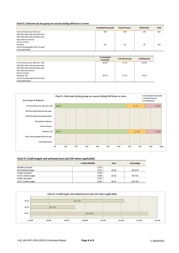#### Chart G. Outcomes by key group on courses lasting 160 hours or more

|                                       | <b>Completed Successful</b> | <b>Partial Success</b> | Withdrawal | <b>Total</b> |
|---------------------------------------|-----------------------------|------------------------|------------|--------------|
| All enrolments over 160 hours         | 559                         | 148                    | 128        | 835          |
| 10% Most deprived postcode areas      |                             |                        |            |              |
| 20% Most deprived postcode areas      |                             |                        |            |              |
| Fees paid by employer                 |                             |                        |            |              |
| <b>Ethnic minority</b>                |                             |                        |            |              |
| Disability                            | 217                         | 54                     | 45         | 316          |
| Year of study greater than first year |                             |                        |            |              |
| <b>Care Experienced</b>               |                             |                        |            |              |

|                                       | % Completed<br>Successful | % Partial Success | % Withdrawal |
|---------------------------------------|---------------------------|-------------------|--------------|
| All enrolments over 160 hours 835     | 66.9%                     | 17.7%             | 15.3%        |
| 10% Most deprived postcode areas      |                           |                   |              |
| 20% Most deprived postcode areas      |                           |                   |              |
| Fees paid by employer                 |                           |                   |              |
| <b>Ethnic minority</b>                |                           |                   |              |
| Disability 316                        | 68.7%                     | 17.1%             | 14.2%        |
| Year of study greater than first year |                           |                   |              |
| <b>Care Experienced</b>               |                           |                   |              |



#### Chart H. Credit targets and achieved (core plus ESF where applicable)

|                         | Credits/WSUMs | Year      | Percentage |
|-------------------------|---------------|-----------|------------|
| <b>WSUMs achieved</b>   | 7.147         |           |            |
| 18-19 WSUM target       | 7,071         | 18-19     | 101.07%    |
| <b>Credits achieved</b> | 7,078         |           |            |
| 19-20 Credits target    | 7,098         | 19-20     | 99.72%     |
| <b>Credits achieved</b> | 7,074         |           |            |
| 20-21 Credits target    | 6,952         | $20 - 21$ | 101.75%    |